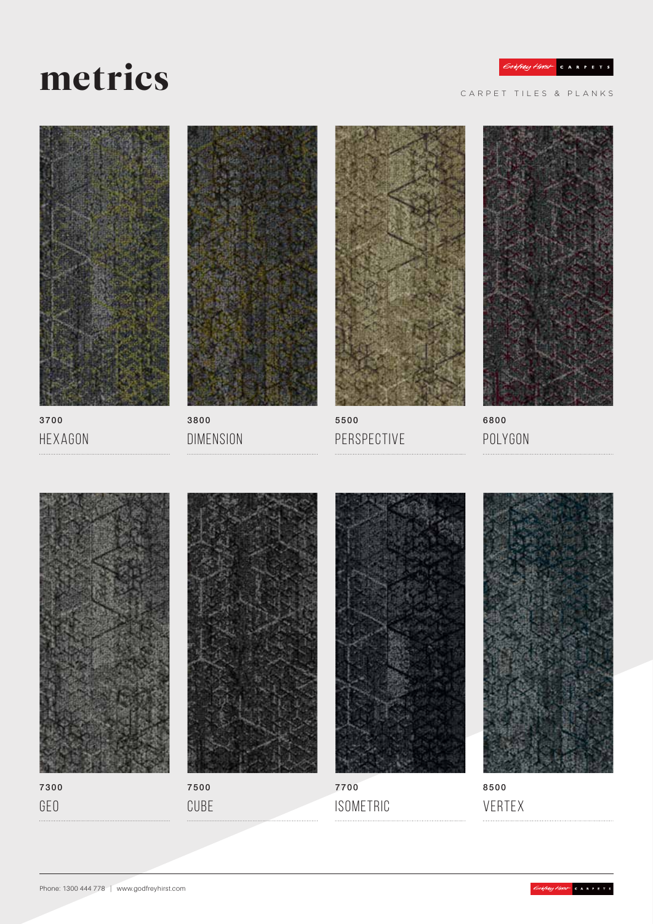# metrics

CARPET TILES & PLANKS



3700 Hexagon



3800 **DIMENSION** 



5500 Perspective



6800 Polygon







7700 **ISOMETRIC** 



8500 VERTEX